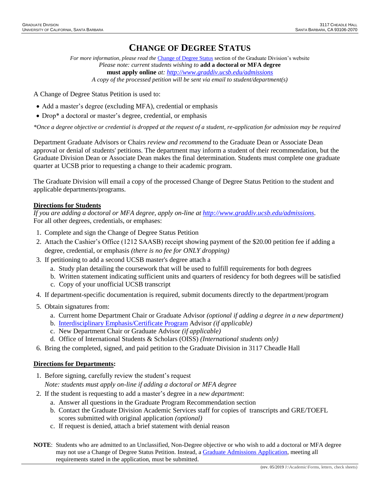## **CHANGE OF DEGREE STATUS**

*For more information, please read the* [Change of Degree Status](http://www.graddiv.ucsb.edu/academic/forms-petitions/degree-change) section of the Graduate Division's website *Please note: current students wishing to* **add a doctoral or MFA degree must apply online** *at:<http://www.graddiv.ucsb.edu/admissions> A copy of the processed petition will be sent via email to student/department(s)*

A Change of Degree Status Petition is used to:

- Add a master's degree (excluding MFA), credential or emphasis
- Drop<sup>\*</sup> a doctoral or master's degree, credential, or emphasis

*\*Once a degree objective or credential is dropped at the request of a student, re-application for admission may be required*

Department Graduate Advisors or Chairs *review and recommend* to the Graduate Dean or Associate Dean approval or denial of students' petitions. The department may inform a student of their recommendation, but the Graduate Division Dean or Associate Dean makes the final determination. Students must complete one graduate quarter at UCSB prior to requesting a change to their academic program.

The Graduate Division will email a copy of the processed Change of Degree Status Petition to the student and applicable departments/programs.

## **Directions for Students**

*If you are adding a doctoral or MFA degree, apply on-line at [http://www.graddiv.ucsb.edu/admissions.](http://www.graddiv.ucsb.edu/admissions)* For all other degrees, credentials, or emphases:

- 1. Complete and sign the Change of Degree Status Petition
- 2. Attach the Cashier's Office (1212 SAASB) receipt showing payment of the \$20.00 petition fee if adding a degree, credential, or emphasis *(there is no fee for ONLY dropping)*
- 3. If petitioning to add a second UCSB master's degree attach a
	- a. Study plan detailing the coursework that will be used to fulfill requirements for both degrees
	- b. Written statement indicating sufficient units and quarters of residency for both degrees will be satisfied c. Copy of your unofficial UCSB transcript
- 4. If department-specific documentation is required, submit documents directly to the department/program
- 5. Obtain signatures from:
	- a. Current home Department Chair or Graduate Advisor *(optional if adding a degree in a new department)*
	- b. [Interdisciplinary Emphasis/Certificate Program](http://www.graddiv.ucsb.edu/academic/interdisciplinary-emphases-certificate-programs) Advisor *(if applicable)*
	- c. New Department Chair or Graduate Advisor *(if applicable)*
	- d. Office of International Students & Scholars (OISS) *(International students only)*
- 6. Bring the completed, signed, and paid petition to the Graduate Division in 3117 Cheadle Hall

## **Directions for Departments:**

1. Before signing, carefully review the student's request

*Note: students must apply on-line if adding a doctoral or MFA degree*

- 2. If the student is requesting to add a master's degree in a *new department*:
	- a. Answer all questions in the Graduate Program Recommendation section
	- b. Contact the Graduate Division Academic Services staff for copies of transcripts and GRE/TOEFL scores submitted with original application *(optional)*
	- c. If request is denied, attach a brief statement with denial reason
- **NOTE**: Students who are admitted to an Unclassified, Non-Degree objective or who wish to add a doctoral or MFA degree may not use a Change of Degree Status Petition. Instead, a [Graduate Admissions Application,](https://www.graddiv.ucsb.edu/eapp/) meeting all requirements stated in the application, must be submitted.